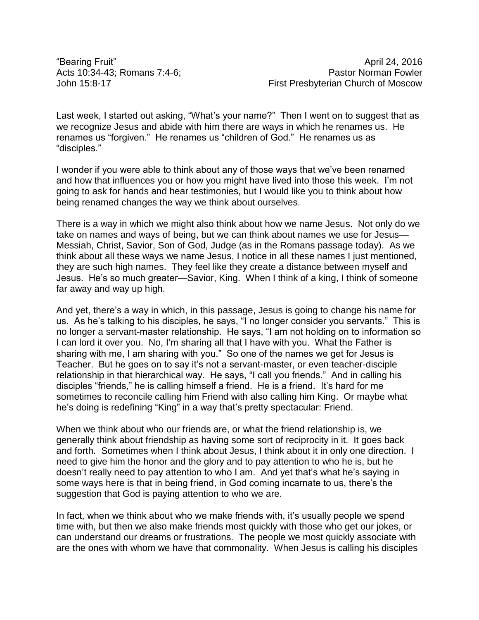Last week, I started out asking, "What's your name?" Then I went on to suggest that as we recognize Jesus and abide with him there are ways in which he renames us. He renames us "forgiven." He renames us "children of God." He renames us as "disciples."

I wonder if you were able to think about any of those ways that we've been renamed and how that influences you or how you might have lived into those this week. I'm not going to ask for hands and hear testimonies, but I would like you to think about how being renamed changes the way we think about ourselves.

There is a way in which we might also think about how we name Jesus. Not only do we take on names and ways of being, but we can think about names we use for Jesus— Messiah, Christ, Savior, Son of God, Judge (as in the Romans passage today). As we think about all these ways we name Jesus, I notice in all these names I just mentioned, they are such high names. They feel like they create a distance between myself and Jesus. He's so much greater—Savior, King. When I think of a king, I think of someone far away and way up high.

And yet, there's a way in which, in this passage, Jesus is going to change his name for us. As he's talking to his disciples, he says, "I no longer consider you servants." This is no longer a servant-master relationship. He says, "I am not holding on to information so I can lord it over you. No, I'm sharing all that I have with you. What the Father is sharing with me, I am sharing with you." So one of the names we get for Jesus is Teacher. But he goes on to say it's not a servant-master, or even teacher-disciple relationship in that hierarchical way. He says, "I call you friends." And in calling his disciples "friends," he is calling himself a friend. He is a friend. It's hard for me sometimes to reconcile calling him Friend with also calling him King. Or maybe what he's doing is redefining "King" in a way that's pretty spectacular: Friend.

When we think about who our friends are, or what the friend relationship is, we generally think about friendship as having some sort of reciprocity in it. It goes back and forth. Sometimes when I think about Jesus, I think about it in only one direction. I need to give him the honor and the glory and to pay attention to who he is, but he doesn't really need to pay attention to who I am. And yet that's what he's saying in some ways here is that in being friend, in God coming incarnate to us, there's the suggestion that God is paying attention to who we are.

In fact, when we think about who we make friends with, it's usually people we spend time with, but then we also make friends most quickly with those who get our jokes, or can understand our dreams or frustrations. The people we most quickly associate with are the ones with whom we have that commonality. When Jesus is calling his disciples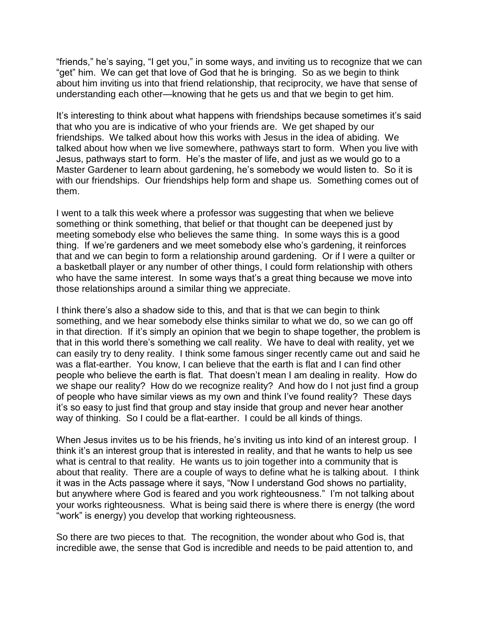"friends," he's saying, "I get you," in some ways, and inviting us to recognize that we can "get" him. We can get that love of God that he is bringing. So as we begin to think about him inviting us into that friend relationship, that reciprocity, we have that sense of understanding each other—knowing that he gets us and that we begin to get him.

It's interesting to think about what happens with friendships because sometimes it's said that who you are is indicative of who your friends are. We get shaped by our friendships. We talked about how this works with Jesus in the idea of abiding. We talked about how when we live somewhere, pathways start to form. When you live with Jesus, pathways start to form. He's the master of life, and just as we would go to a Master Gardener to learn about gardening, he's somebody we would listen to. So it is with our friendships. Our friendships help form and shape us. Something comes out of them.

I went to a talk this week where a professor was suggesting that when we believe something or think something, that belief or that thought can be deepened just by meeting somebody else who believes the same thing. In some ways this is a good thing. If we're gardeners and we meet somebody else who's gardening, it reinforces that and we can begin to form a relationship around gardening. Or if I were a quilter or a basketball player or any number of other things, I could form relationship with others who have the same interest. In some ways that's a great thing because we move into those relationships around a similar thing we appreciate.

I think there's also a shadow side to this, and that is that we can begin to think something, and we hear somebody else thinks similar to what we do, so we can go off in that direction. If it's simply an opinion that we begin to shape together, the problem is that in this world there's something we call reality. We have to deal with reality, yet we can easily try to deny reality. I think some famous singer recently came out and said he was a flat-earther. You know, I can believe that the earth is flat and I can find other people who believe the earth is flat. That doesn't mean I am dealing in reality. How do we shape our reality? How do we recognize reality? And how do I not just find a group of people who have similar views as my own and think I've found reality? These days it's so easy to just find that group and stay inside that group and never hear another way of thinking. So I could be a flat-earther. I could be all kinds of things.

When Jesus invites us to be his friends, he's inviting us into kind of an interest group. I think it's an interest group that is interested in reality, and that he wants to help us see what is central to that reality. He wants us to join together into a community that is about that reality. There are a couple of ways to define what he is talking about. I think it was in the Acts passage where it says, "Now I understand God shows no partiality, but anywhere where God is feared and you work righteousness." I'm not talking about your works righteousness. What is being said there is where there is energy (the word "work" is energy) you develop that working righteousness.

So there are two pieces to that. The recognition, the wonder about who God is, that incredible awe, the sense that God is incredible and needs to be paid attention to, and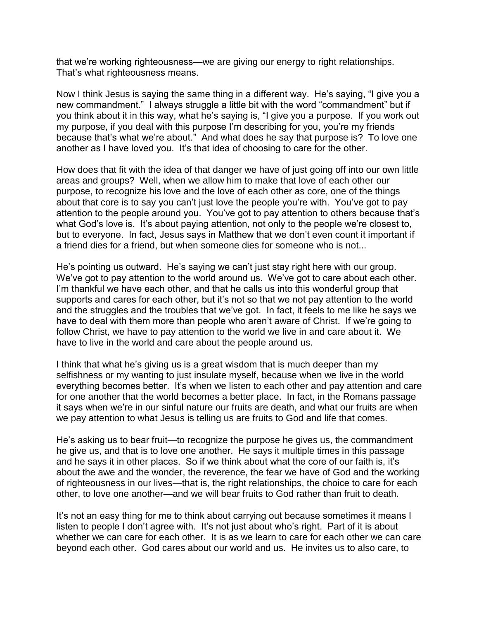that we're working righteousness—we are giving our energy to right relationships. That's what righteousness means.

Now I think Jesus is saying the same thing in a different way. He's saying, "I give you a new commandment." I always struggle a little bit with the word "commandment" but if you think about it in this way, what he's saying is, "I give you a purpose. If you work out my purpose, if you deal with this purpose I'm describing for you, you're my friends because that's what we're about." And what does he say that purpose is? To love one another as I have loved you. It's that idea of choosing to care for the other.

How does that fit with the idea of that danger we have of just going off into our own little areas and groups? Well, when we allow him to make that love of each other our purpose, to recognize his love and the love of each other as core, one of the things about that core is to say you can't just love the people you're with. You've got to pay attention to the people around you. You've got to pay attention to others because that's what God's love is. It's about paying attention, not only to the people we're closest to, but to everyone. In fact, Jesus says in Matthew that we don't even count it important if a friend dies for a friend, but when someone dies for someone who is not...

He's pointing us outward. He's saying we can't just stay right here with our group. We've got to pay attention to the world around us. We've got to care about each other. I'm thankful we have each other, and that he calls us into this wonderful group that supports and cares for each other, but it's not so that we not pay attention to the world and the struggles and the troubles that we've got. In fact, it feels to me like he says we have to deal with them more than people who aren't aware of Christ. If we're going to follow Christ, we have to pay attention to the world we live in and care about it. We have to live in the world and care about the people around us.

I think that what he's giving us is a great wisdom that is much deeper than my selfishness or my wanting to just insulate myself, because when we live in the world everything becomes better. It's when we listen to each other and pay attention and care for one another that the world becomes a better place. In fact, in the Romans passage it says when we're in our sinful nature our fruits are death, and what our fruits are when we pay attention to what Jesus is telling us are fruits to God and life that comes.

He's asking us to bear fruit—to recognize the purpose he gives us, the commandment he give us, and that is to love one another. He says it multiple times in this passage and he says it in other places. So if we think about what the core of our faith is, it's about the awe and the wonder, the reverence, the fear we have of God and the working of righteousness in our lives—that is, the right relationships, the choice to care for each other, to love one another—and we will bear fruits to God rather than fruit to death.

It's not an easy thing for me to think about carrying out because sometimes it means I listen to people I don't agree with. It's not just about who's right. Part of it is about whether we can care for each other. It is as we learn to care for each other we can care beyond each other. God cares about our world and us. He invites us to also care, to